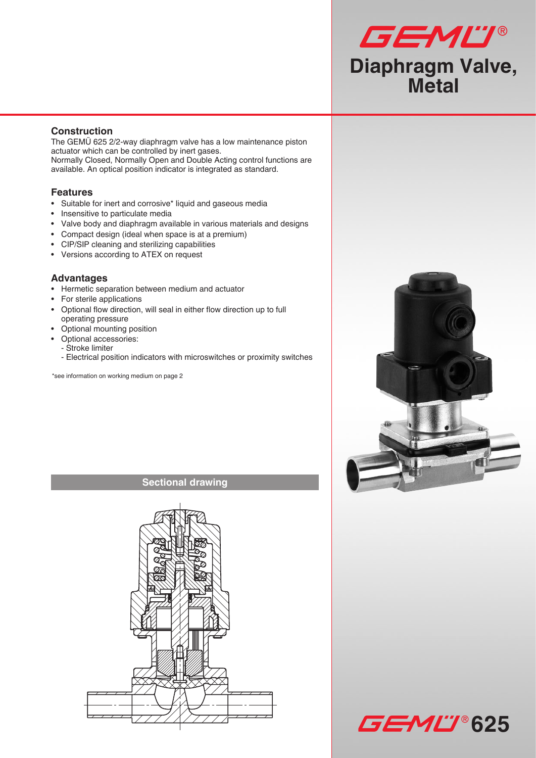

## **Construction**

The GEMÜ 625 2/2-way diaphragm valve has a low maintenance piston actuator which can be controlled by inert gases. Normally Closed, Normally Open and Double Acting control functions are available. An optical position indicator is integrated as standard.

### **Features**

- • Suitable for inert and corrosive\* liquid and gaseous media
- • Insensitive to particulate media
- Valve body and diaphragm available in various materials and designs
- • Compact design (ideal when space is at a premium)
- • CIP/SIP cleaning and sterilizing capabilities
- • Versions according to ATEX on request

### **Advantages**

- • Hermetic separation between medium and actuator
- • For sterile applications
- • Optional flow direction, will seal in either flow direction up to full operating pressure
- Optional mounting position
- Optional accessories:
	- Stroke limiter
	- Electrical position indicators with microswitches or proximity switches

\*see information on working medium on page 2

### **Sectional drawing**





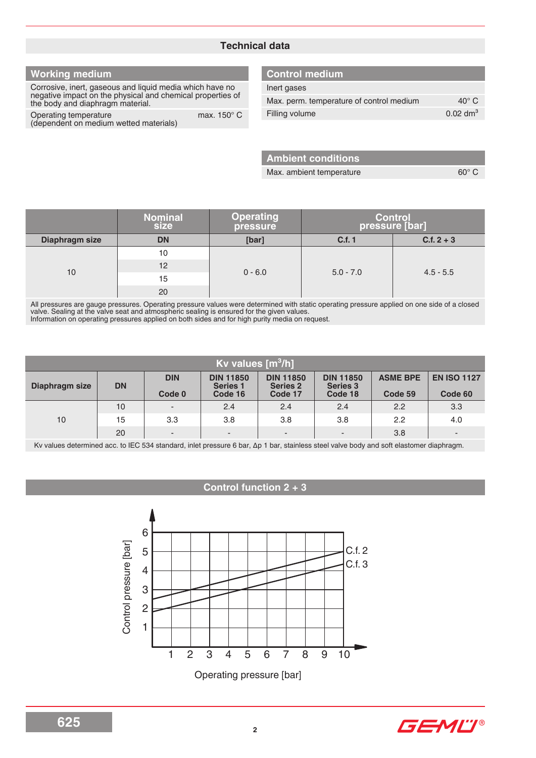### **Technical data**

## **Working medium**

Corrosive, inert, gaseous and liquid media which have no negative impact on the physical and chemical properties of the body and diaphragm material.

Operating temperature max. 150° C (dependent on medium wetted materials)

# **Control medium**

| Inert gases                              |                     |
|------------------------------------------|---------------------|
| Max. perm. temperature of control medium | $40^\circ$ C        |
| Filling volume                           | $0.02 \text{ dm}^3$ |

| <b>Ambient conditions</b> |                |
|---------------------------|----------------|
| Max. ambient temperature  | $60^{\circ}$ C |

|                | <b>Nominal</b><br>size | <b>Operating</b><br>pressure | Control<br>[bar] pressure |              |  |
|----------------|------------------------|------------------------------|---------------------------|--------------|--|
| Diaphragm size | <b>DN</b>              | [bar]                        | C.f. 1                    | $C.f. 2 + 3$ |  |
| 10             | 10                     | $0 - 6.0$                    |                           |              |  |
|                | 12                     |                              |                           | $4.5 - 5.5$  |  |
|                | 15                     |                              | $5.0 - 7.0$               |              |  |
|                | 20                     |                              |                           |              |  |

All pressures are gauge pressures. Operating pressure values were determined with static operating pressure applied on one side of a closed valve. Sealing at the valve seat and atmospheric sealing is ensured for the given values. Information on operating pressures applied on both sides and for high purity media on request.

| $Kv$ values $[m^3/h]$ |           |                          |                                     |                                     |                                     |                 |                          |
|-----------------------|-----------|--------------------------|-------------------------------------|-------------------------------------|-------------------------------------|-----------------|--------------------------|
| Diaphragm size        | <b>DN</b> | <b>DIN</b>               | <b>DIN 11850</b><br><b>Series 1</b> | <b>DIN 11850</b><br><b>Series 2</b> | <b>DIN 11850</b><br><b>Series 3</b> | <b>ASME BPE</b> | <b>EN ISO 1127</b>       |
|                       |           | Code 0                   | Code 16                             | Code 17                             | Code 18                             | Code 59         | Code 60                  |
|                       | 10        |                          | 2.4                                 | 2.4                                 | 2.4                                 | 2.2             | 3.3                      |
| 10                    | 15        | 3.3                      | 3.8                                 | 3.8                                 | 3.8                                 | 2.2             | 4.0                      |
|                       | 20        | $\overline{\phantom{a}}$ | $\overline{\phantom{0}}$            | ٠                                   | $\overline{\phantom{a}}$            | 3.8             | $\overline{\phantom{a}}$ |

Kv values determined acc. to IEC 534 standard, inlet pressure 6 bar, ∆p 1 bar, stainless steel valve body and soft elastomer diaphragm.

### **Control function 2 + 3**



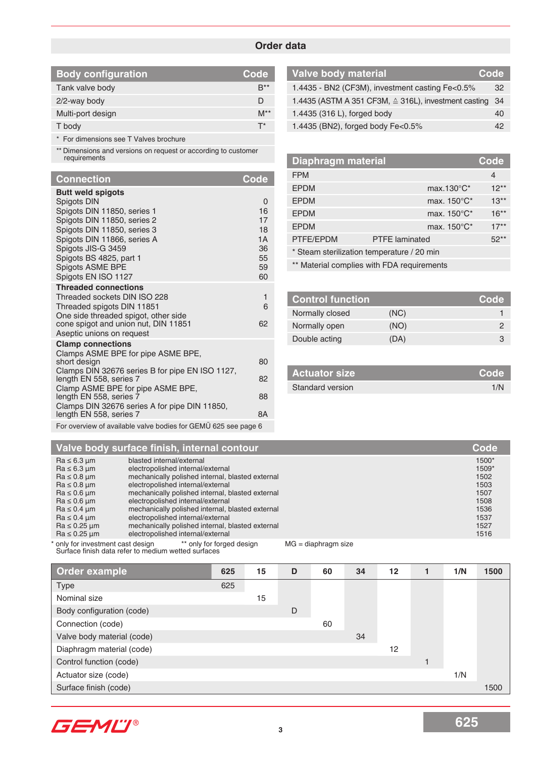### **Order data**

| <b>Body configuration</b> | Code     |
|---------------------------|----------|
| Tank valve body           | $R^{**}$ |
| 2/2-way body              | D        |
| Multi-port design         | $M^{**}$ |
| T body                    |          |

\* For dimensions see T Valves brochure

\*\* Dimensions and versions on request or according to customer requirements

| <b>Connection</b>                                                                                                                                                                                                                                                                                        | <b>Code</b>                                       |
|----------------------------------------------------------------------------------------------------------------------------------------------------------------------------------------------------------------------------------------------------------------------------------------------------------|---------------------------------------------------|
| <b>Butt weld spigots</b><br>Spigots DIN<br>Spigots DIN 11850, series 1<br>Spigots DIN 11850, series 2<br>Spigots DIN 11850, series 3<br>Spigots DIN 11866, series A<br>Spigots JIS-G 3459<br>Spigots BS 4825, part 1<br>Spigots ASME BPE<br>Spigots EN ISO 1127                                          | 0<br>16<br>17<br>18<br>1A<br>36<br>55<br>59<br>60 |
| <b>Threaded connections</b><br>Threaded sockets DIN ISO 228<br>Threaded spigots DIN 11851<br>One side threaded spigot, other side<br>cone spigot and union nut, DIN 11851<br>Aseptic unions on request                                                                                                   | 1<br>6<br>62                                      |
| <b>Clamp connections</b><br>Clamps ASME BPE for pipe ASME BPE,<br>short design<br>Clamps DIN 32676 series B for pipe EN ISO 1127,<br>length EN 558, series 7<br>Clamp ASME BPE for pipe ASME BPE,<br>length EN 558, series 7<br>Clamps DIN 32676 series A for pipe DIN 11850,<br>length EN 558, series 7 | 80<br>82<br>88<br>8A                              |

| <b>Valve body material</b>                                         | Code |
|--------------------------------------------------------------------|------|
| 1.4435 - BN2 (CF3M), investment casting Fe<0.5%                    | 32   |
| 1.4435 (ASTM A 351 CF3M, $\triangleq$ 316L), investment casting 34 |      |
| 1.4435 (316 L), forged body                                        | 40   |
| 1.4435 (BN2), forged body Fe<0.5%                                  | 42   |

| <b>Diaphragm material</b>                  |                       |                      |         |  |  |
|--------------------------------------------|-----------------------|----------------------|---------|--|--|
| <b>FPM</b>                                 |                       |                      | 4       |  |  |
| <b>EPDM</b>                                |                       | max.130 $\degree$ C* | $12**$  |  |  |
| <b>EPDM</b>                                |                       | max. 150°C*          | $13**$  |  |  |
| <b>EPDM</b>                                |                       | max. 150°C*          | $16***$ |  |  |
| <b>EPDM</b>                                |                       | max. 150°C*          | $17**$  |  |  |
| PTFE/EPDM                                  | <b>PTFE</b> laminated |                      | $52**$  |  |  |
| * Steam sterilization temperature / 20 min |                       |                      |         |  |  |
| ** Material complies with FDA requirements |                       |                      |         |  |  |

| <b>Control function</b> |      | Code |
|-------------------------|------|------|
| Normally closed         | (NC) |      |
| Normally open           | (NO) |      |
| Double acting           | (DA) |      |

| <b>Actuator size</b> | Code |
|----------------------|------|
| Standard version     | 1/N  |

For overview of available valve bodies for GEMÜ 625 see page 6

### **Valve body surface finish, internal contour Code** Code Code Code Code

|                      | الماضا والمتحال والمتحادث والماضا والمتحادث والماضا والمتحادث والمتحادث والمتحادث والمحالم والمحال والماضي الما |         |
|----------------------|-----------------------------------------------------------------------------------------------------------------|---------|
| $Ra \leq 6.3 \mu m$  | blasted internal/external                                                                                       | $1500*$ |
| $Ra \leq 6.3 \mu m$  | electropolished internal/external                                                                               | 1509*   |
| $Ra \leq 0.8 \mu m$  | mechanically polished internal, blasted external                                                                | 1502    |
| $Ra \leq 0.8 \mu m$  | electropolished internal/external                                                                               | 1503    |
| $Ra \leq 0.6 \mu m$  | mechanically polished internal, blasted external                                                                | 1507    |
| $Ra \leq 0.6 \mu m$  | electropolished internal/external                                                                               | 1508    |
| $Ra \leq 0.4 \mu m$  | mechanically polished internal, blasted external                                                                | 1536    |
| $Ra \leq 0.4 \mu m$  | electropolished internal/external                                                                               | 1537    |
| $Ra \leq 0.25 \mu m$ | mechanically polished internal, blasted external                                                                | 1527    |
| $Ra \leq 0.25 \mu m$ | electropolished internal/external                                                                               | 1516    |
|                      |                                                                                                                 |         |

\* only for investment cast design \*\* only for forged design MG = diaphragm size Surface finish data refer to medium wetted surfaces

| Order example              | 625 | 15 | D | 60 | 34 | $12 \,$ | 1/N | 1500 |
|----------------------------|-----|----|---|----|----|---------|-----|------|
| Type                       | 625 |    |   |    |    |         |     |      |
| Nominal size               |     | 15 |   |    |    |         |     |      |
| Body configuration (code)  |     |    | D |    |    |         |     |      |
| Connection (code)          |     |    |   | 60 |    |         |     |      |
| Valve body material (code) |     |    |   |    | 34 |         |     |      |
| Diaphragm material (code)  |     |    |   |    |    | 12      |     |      |
| Control function (code)    |     |    |   |    |    |         |     |      |
| Actuator size (code)       |     |    |   |    |    |         | 1/N |      |
| Surface finish (code)      |     |    |   |    |    |         |     | 1500 |

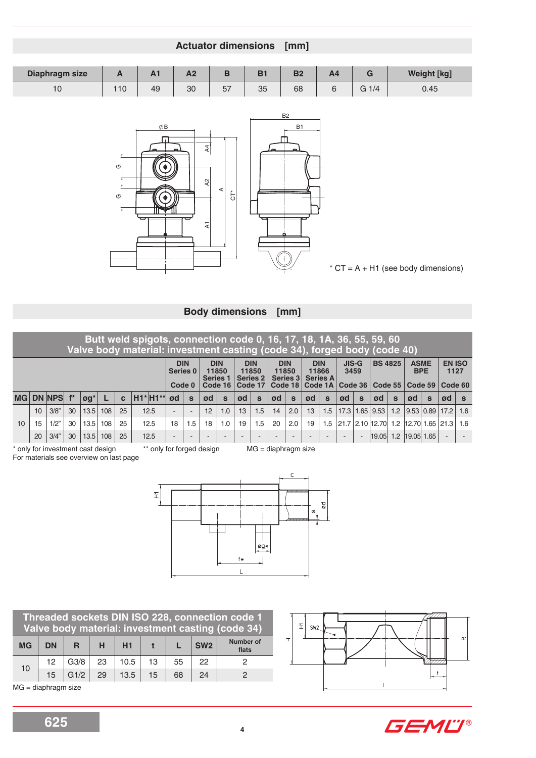**Actuator dimensions [mm]**

| Diaphragm size | $\overline{\phantom{0}}$ | $\sqrt{ }$ | – 16. |           | D-       | <b>Do</b> | — |       | <b>Weight [kg]</b> |
|----------------|--------------------------|------------|-------|-----------|----------|-----------|---|-------|--------------------|
| 10             | 10                       | 49         | 30    | 57<br>، ب | 25<br>ບບ | 68        |   | G 1/4 | 0.45               |



## **Body dimensions [mm]**

|           |                                                                                                                                                                                                                                            |                          |                          |                   |          | G<br>U            |                                                                          |                                   |                                          | 4<br>A2<br>$\overline{A}$       | ⋖<br>Ġ              |                                 |                     |                     |                     |                     |                     |                 |             |    |                | * $CT = A + H1$ (see body dimensions)          |              |                       |                     |
|-----------|--------------------------------------------------------------------------------------------------------------------------------------------------------------------------------------------------------------------------------------------|--------------------------|--------------------------|-------------------|----------|-------------------|--------------------------------------------------------------------------|-----------------------------------|------------------------------------------|---------------------------------|---------------------|---------------------------------|---------------------|---------------------|---------------------|---------------------|---------------------|-----------------|-------------|----|----------------|------------------------------------------------|--------------|-----------------------|---------------------|
|           |                                                                                                                                                                                                                                            |                          |                          |                   |          |                   |                                                                          |                                   |                                          |                                 |                     | <b>Body dimensions</b>          |                     |                     | [mm]                |                     |                     |                 |             |    |                |                                                |              |                       |                     |
|           |                                                                                                                                                                                                                                            |                          |                          |                   |          |                   | Butt weld spigots, connection code 0, 16, 17, 18, 1A, 36, 55, 59, 60     |                                   |                                          |                                 |                     |                                 |                     |                     |                     |                     |                     |                 |             |    |                |                                                |              |                       |                     |
|           |                                                                                                                                                                                                                                            |                          |                          |                   |          |                   | Valve body material: investment casting (code 34), forged body (code 40) | <b>DIN</b><br>Series <sub>0</sub> |                                          | <b>DIN</b><br>11850<br>Series 1 |                     | <b>DIN</b><br>11850<br>Series 2 |                     | <b>DIN</b><br>11850 | Series 3            | <b>DIN</b><br>11866 | Series A            | $JIS-G$<br>3459 |             |    | <b>BS 4825</b> | <b>ASME</b><br><b>BPE</b>                      |              | <b>EN ISO</b><br>1127 |                     |
|           |                                                                                                                                                                                                                                            |                          |                          |                   |          |                   |                                                                          | Code 0                            |                                          | Code 16                         |                     | Code 17                         |                     |                     |                     | Code 18 Code 1A     |                     | Code $36$       |             |    | Code 55        | Code 59                                        |              | Code 60               |                     |
|           | 10                                                                                                                                                                                                                                         | <b>MG DN NPS</b><br>3/8" | $\mathsf{f}^\star$<br>30 | øg*<br>$13.5$ 108 | L        | $\mathbf c$<br>25 | H1*H1**<br>12.5                                                          | ød                                | $\mathbf{s}$<br>$\overline{\phantom{a}}$ | ød<br>12                        | $\mathbf{s}$<br>1.0 | ød<br>13                        | $\mathbf{s}$<br>1.5 | ød<br>14            | $\mathbf{s}$<br>2.0 | ød<br>13            | $\mathbf{s}$<br>1.5 | ød              | $\mathbf s$ | ød | $\mathbf{s}$   | ød<br>$17.3   1.65   9.53   1.2   9.53   0.89$ | $\mathbf{s}$ | ød<br>17.2            | $\mathbf{s}$<br>1.6 |
| 10        | 15                                                                                                                                                                                                                                         | 1/2"                     | 30                       | $13.5$ 108        |          | 25                | 12.5                                                                     | 18                                | 1.5                                      | 18                              | 1.0                 | 19                              | 1.5                 | 20                  | 2.0                 | 19                  | 1.5                 |                 |             |    |                | 21.7 2.10 12.70 1.2 12.70 1.65 21.3            |              |                       | 1.6                 |
|           | 20                                                                                                                                                                                                                                         | 3/4"                     | $30\,$                   | $13.5$ 108        |          | 25                | 12.5                                                                     |                                   |                                          |                                 |                     |                                 |                     |                     |                     |                     |                     |                 |             |    |                | $ 19.05 $ 1.2 $ 19.05 $ 1.65                   |              |                       |                     |
|           | only for investment cast design<br>** only for forged design<br>$MG = diaphragm size$<br>For materials see overview on last page<br>C<br>$\widetilde{\pm}$<br>Pø<br>w<br>øg*<br>f*<br>L<br>Threaded sockets DIN ISO 228, connection code 1 |                          |                          |                   |          |                   |                                                                          |                                   |                                          |                                 |                     |                                 |                     |                     |                     |                     |                     |                 |             |    |                |                                                |              |                       |                     |
|           |                                                                                                                                                                                                                                            |                          |                          |                   |          |                   | Valve body material: investment casting (code 34)                        |                                   |                                          |                                 |                     | Number of                       |                     |                     | 도<br>H              | SW <sub>2</sub>     |                     |                 |             |    |                |                                                |              |                       | $\propto$           |
| <b>MG</b> |                                                                                                                                                                                                                                            | <b>DN</b>                | $\mathsf{R}$             |                   | н        | H1                | t                                                                        | L                                 |                                          | <b>SW2</b>                      |                     | flats                           |                     |                     |                     |                     |                     |                 |             |    |                |                                                |              |                       |                     |
| 10        |                                                                                                                                                                                                                                            | 12<br>15                 | G3/8<br>G1/2             |                   | 23<br>29 | 10.5<br>13.5      | 13<br>15                                                                 | 55<br>68                          |                                          | 22<br>24                        |                     | 2<br>2                          |                     |                     |                     |                     |                     |                 |             |    |                |                                                | $^{\dagger}$ |                       |                     |
|           |                                                                                                                                                                                                                                            | MG = diaphragm size      |                          |                   |          |                   |                                                                          |                                   |                                          |                                 |                     |                                 |                     |                     |                     |                     |                     |                 |             |    |                |                                                |              |                       |                     |
|           |                                                                                                                                                                                                                                            | 625                      |                          |                   |          |                   |                                                                          |                                   |                                          |                                 |                     | 4                               |                     |                     |                     |                     |                     |                 |             |    |                | GEMÜ®                                          |              |                       |                     |

|           |                 |      |    |      |    |    |                 | Threaded sockets DIN ISO 228, connection code 1<br>Valve body material: investment casting (code 34) |
|-----------|-----------------|------|----|------|----|----|-----------------|------------------------------------------------------------------------------------------------------|
| <b>MG</b> | <b>DN</b>       | R.   | H  | H1   |    |    | SW <sub>2</sub> | <b>Number of</b><br>flats                                                                            |
| 10        | 12 <sup>2</sup> | G3/8 | 23 | 10.5 | 13 | 55 | 22              |                                                                                                      |
|           | 15              | G1/2 | 29 | 13.5 | 15 | 68 | 24              |                                                                                                      |



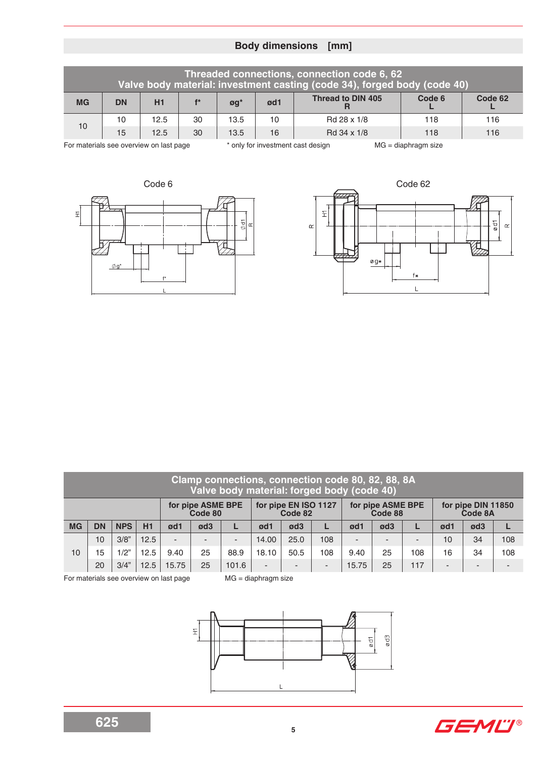# **Body dimensions [mm]**

|           | Threaded connections, connection code 6, 62<br>Valve body material: investment casting (code 34), forged body (code 40) |      |       |                              |     |                          |        |         |  |  |  |  |  |  |  |
|-----------|-------------------------------------------------------------------------------------------------------------------------|------|-------|------------------------------|-----|--------------------------|--------|---------|--|--|--|--|--|--|--|
| <b>MG</b> | <b>DN</b>                                                                                                               | H1   | $f^*$ | $\mathfrak{g}\mathfrak{q}^*$ | ød1 | <b>Thread to DIN 405</b> | Code 6 | Code 62 |  |  |  |  |  |  |  |
| 10        | 10                                                                                                                      | 12.5 | 30    | 13.5                         | 10  | Rd 28 x 1/8              | 118    | 116     |  |  |  |  |  |  |  |
|           | 15                                                                                                                      | 12.5 | 30    | 13.5                         | 16  | Rd 34 x 1/8              | 118    | 116     |  |  |  |  |  |  |  |

For materials see overview on last page  $*$  only for investment cast design MG = diaphragm size





|           | Clamp connections, connection code 80, 82, 88, 8A<br>Valve body material: forged body (code 40) |            |      |                          |                              |       |       |                                 |                          |                          |                              |                          |                               |                          |     |  |
|-----------|-------------------------------------------------------------------------------------------------|------------|------|--------------------------|------------------------------|-------|-------|---------------------------------|--------------------------|--------------------------|------------------------------|--------------------------|-------------------------------|--------------------------|-----|--|
|           |                                                                                                 |            |      |                          | for pipe ASME BPE<br>Code 80 |       |       | for pipe EN ISO 1127<br>Code 82 |                          |                          | for pipe ASME BPE<br>Code 88 |                          | for pipe DIN 11850<br>Code 8A |                          |     |  |
| <b>MG</b> | <b>DN</b>                                                                                       | <b>NPS</b> | H1   | ød1                      | ød3                          |       | ød1   | ød3                             |                          |                          | ød <sub>3</sub>              |                          | ød1                           | ød <sub>3</sub>          |     |  |
|           | 10                                                                                              | 3/8"       | 12.5 | $\overline{\phantom{a}}$ |                              | -     | 14.00 | 25.0                            | 108                      | $\overline{\phantom{a}}$ | -                            | $\overline{\phantom{0}}$ | 10                            | 34                       | 108 |  |
| 10        | 5                                                                                               | 1/2"       | 12.5 | 9.40                     | 25                           | 88.9  | 18.10 | 50.5                            | 108                      | 9.40                     | 25                           | 108                      | 16                            | 34                       | 108 |  |
|           | 20                                                                                              | 3/4"       | 12.5 | 15.75                    | 25                           | 101.6 | -     |                                 | $\overline{\phantom{0}}$ | 15.75                    | 25                           | 117                      | $\overline{\phantom{a}}$      | $\overline{\phantom{0}}$ |     |  |

For materials see overview on last page MG = diaphragm size